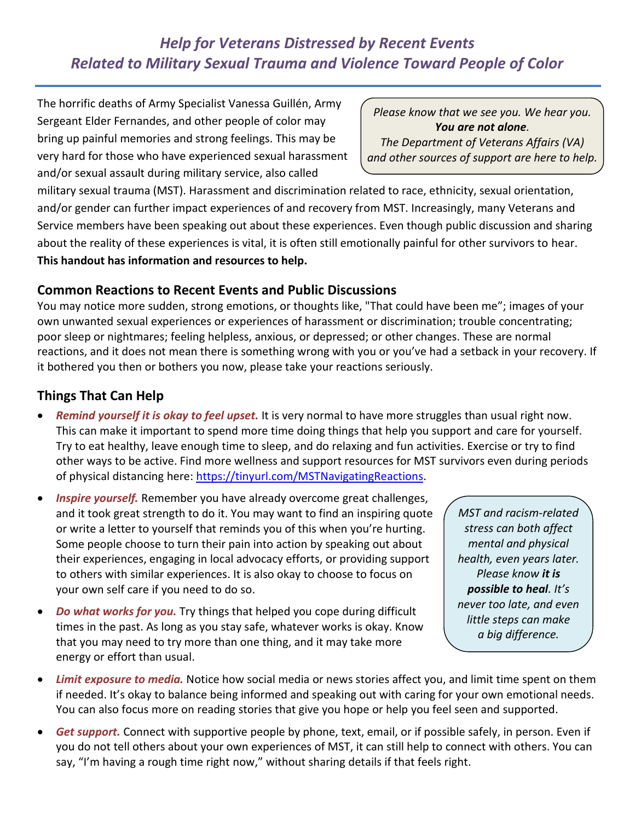# *Help for Veterans Distressed by Recent Events Related to Military Sexual Trauma and Violence Toward People of Color*

 The horrific deaths of Army Specialist Vanessa Guillén, Army Sergeant Elder Fernandes, and other people of color may very hard for those who have experienced sexual harassment and/or sexual assault during military service, also called bring up painful memories and strong feelings. This may be

 *Please know that we see you. We hear you. You are not alone.* 

 *The Department of Veterans Affairs (VA) and other sources of support are here to help.* 

 military sexual trauma (MST). Harassment and discrimination related to race, ethnicity, sexual orientation, and/or gender can further impact experiences of and recovery from MST. Increasingly, many Veterans and Service members have been speaking out about these experiences. Even though public discussion and sharing about the reality of these experiences is vital, it is often still emotionally painful for other survivors to hear.  **This handout has information and resources to help.** 

#### **Common Reactions to Recent Events and Public Discussions**

 You may notice more sudden, strong emotions, or thoughts like, "That could have been me"; images of your own unwanted sexual experiences or experiences of harassment or discrimination; trouble concentrating; poor sleep or nightmares; feeling helpless, anxious, or depressed; or other changes. These are normal reactions, and it does not mean there is something wrong with you or you've had a setback in your recovery. If it bothered you then or bothers you now, please take your reactions seriously.

## **Things That Can Help**

- *Remind yourself it is okay to feel upset.* It is very normal to have more struggles than usual right now. This can make it important to spend more time doing things that help you support and care for yourself. Try to eat healthy, leave enough time to sleep, and do relaxing and fun activities. Exercise or try to find other ways to be active. Find more wellness and support resources for MST survivors even during periods of physical distancing here: [https://tinyurl.com/MSTNavigatingReactions.](https://tinyurl.com/MSTNavigatingReactions)
- • *Inspire yourself.* Remember you have already overcome great challenges, and it took great strength to do it. You may want to find an inspiring quote or write a letter to yourself that reminds you of this when you're hurting. Some people choose to turn their pain into action by speaking out about their experiences, engaging in local advocacy efforts, or providing support to others with similar experiences. It is also okay to choose to focus on your own self care if you need to do so.
- *Do what works for you.* Try things that helped you cope during difficult times in the past. As long as you stay safe, whatever works is okay. Know that you may need to try more than one thing, and it may take more energy or effort than usual.

 *MST and racism-related stress can both affect health, even years later. Please know it is*  **Please know it is**  *never too late, and even little steps can make a big difference. mental and physical possible to heal. It's*

- **Limit exposure to media.** Notice how social media or news stories affect you, and limit time spent on them if needed. It's okay to balance being informed and speaking out with caring for your own emotional needs. You can also focus more on reading stories that give you hope or help you feel seen and supported.
- • *Get support.* Connect with supportive people by phone, text, email, or if possible safely, in person. Even if you do not tell others about your own experiences of MST, it can still help to connect with others. You can say, "I'm having a rough time right now," without sharing details if that feels right.